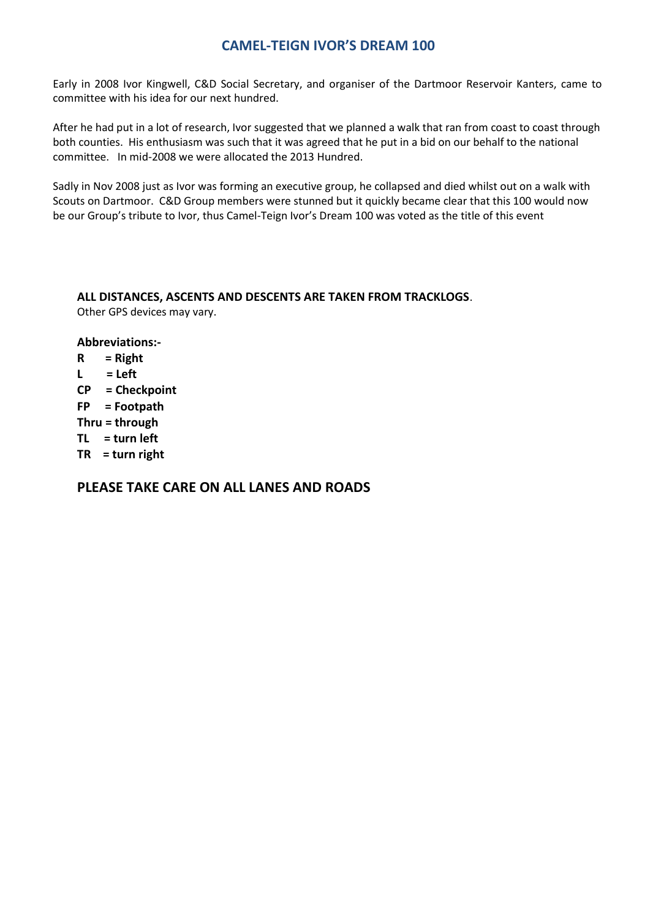#### **CAMEL-TEIGN IVOR'S DREAM 100**

Early in 2008 Ivor Kingwell, C&D Social Secretary, and organiser of the Dartmoor Reservoir Kanters, came to committee with his idea for our next hundred.

After he had put in a lot of research, Ivor suggested that we planned a walk that ran from coast to coast through both counties. His enthusiasm was such that it was agreed that he put in a bid on our behalf to the national committee. In mid-2008 we were allocated the 2013 Hundred.

Sadly in Nov 2008 just as Ivor was forming an executive group, he collapsed and died whilst out on a walk with Scouts on Dartmoor. C&D Group members were stunned but it quickly became clear that this 100 would now be our Group's tribute to Ivor, thus Camel-Teign Ivor's Dream 100 was voted as the title of this event

#### **ALL DISTANCES, ASCENTS AND DESCENTS ARE TAKEN FROM TRACKLOGS**.

Other GPS devices may vary.

#### **Abbreviations:-**

- **R = Right L = Left**
- **CP = Checkpoint**
- **FP = Footpath**
- **Thru = through**
- **TL = turn left**
- **TR = turn right**

#### **PLEASE TAKE CARE ON ALL LANES AND ROADS**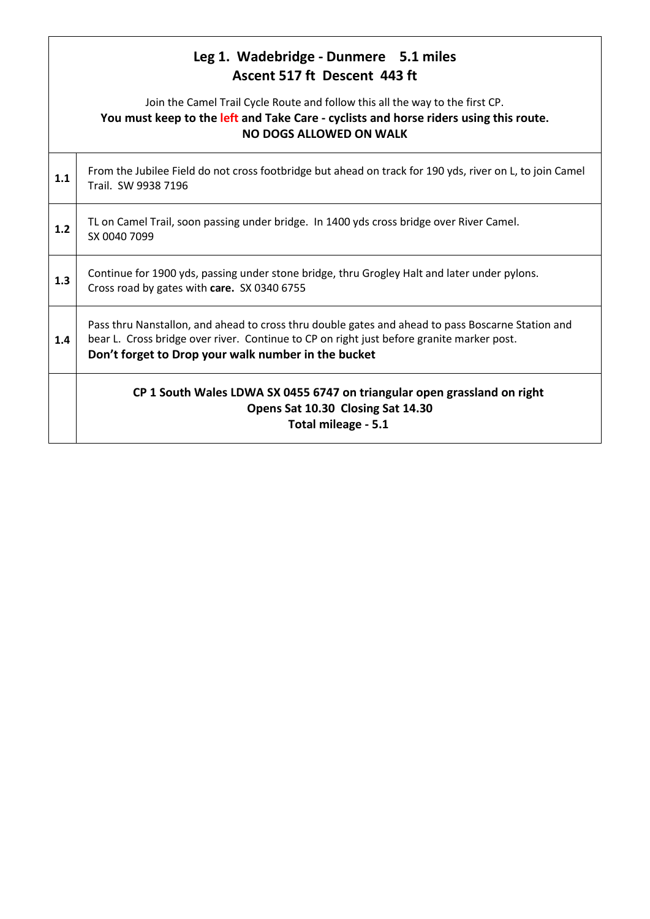|     | Leg 1. Wadebridge - Dunmere 5.1 miles<br>Ascent 517 ft Descent 443 ft                                                                                                                                                                                 |
|-----|-------------------------------------------------------------------------------------------------------------------------------------------------------------------------------------------------------------------------------------------------------|
|     | Join the Camel Trail Cycle Route and follow this all the way to the first CP.<br>You must keep to the left and Take Care - cyclists and horse riders using this route.<br><b>NO DOGS ALLOWED ON WALK</b>                                              |
| 1.1 | From the Jubilee Field do not cross footbridge but ahead on track for 190 yds, river on L, to join Camel<br>Trail. SW 9938 7196                                                                                                                       |
| 1.2 | TL on Camel Trail, soon passing under bridge. In 1400 yds cross bridge over River Camel.<br>SX 0040 7099                                                                                                                                              |
| 1.3 | Continue for 1900 yds, passing under stone bridge, thru Grogley Halt and later under pylons.<br>Cross road by gates with care. SX 0340 6755                                                                                                           |
| 1.4 | Pass thru Nanstallon, and ahead to cross thru double gates and ahead to pass Boscarne Station and<br>bear L. Cross bridge over river. Continue to CP on right just before granite marker post.<br>Don't forget to Drop your walk number in the bucket |
|     | CP 1 South Wales LDWA SX 0455 6747 on triangular open grassland on right<br>Opens Sat 10.30 Closing Sat 14.30<br>Total mileage - 5.1                                                                                                                  |

Г

 $\overline{\phantom{a}}$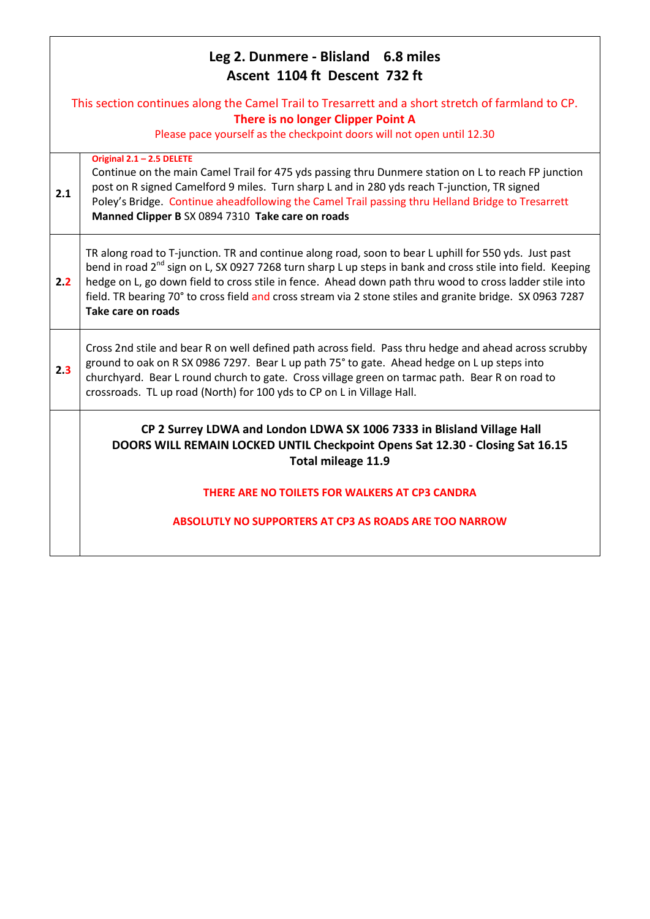| Leg 2. Dunmere - Blisland 6.8 miles<br>Ascent 1104 ft Descent 732 ft |                                                                                                                                                                                                                                                                                                                                                                                                                                                                               |  |
|----------------------------------------------------------------------|-------------------------------------------------------------------------------------------------------------------------------------------------------------------------------------------------------------------------------------------------------------------------------------------------------------------------------------------------------------------------------------------------------------------------------------------------------------------------------|--|
|                                                                      | This section continues along the Camel Trail to Tresarrett and a short stretch of farmland to CP.<br>There is no longer Clipper Point A<br>Please pace yourself as the checkpoint doors will not open until 12.30                                                                                                                                                                                                                                                             |  |
| 2.1                                                                  | Original 2.1 - 2.5 DELETE<br>Continue on the main Camel Trail for 475 yds passing thru Dunmere station on L to reach FP junction<br>post on R signed Camelford 9 miles. Turn sharp L and in 280 yds reach T-junction, TR signed<br>Poley's Bridge. Continue aheadfollowing the Camel Trail passing thru Helland Bridge to Tresarrett<br>Manned Clipper B SX 0894 7310 Take care on roads                                                                                      |  |
| 2.2                                                                  | TR along road to T-junction. TR and continue along road, soon to bear L uphill for 550 yds. Just past<br>bend in road 2 <sup>nd</sup> sign on L, SX 0927 7268 turn sharp L up steps in bank and cross stile into field. Keeping<br>hedge on L, go down field to cross stile in fence. Ahead down path thru wood to cross ladder stile into<br>field. TR bearing 70° to cross field and cross stream via 2 stone stiles and granite bridge. SX 0963 7287<br>Take care on roads |  |
| 2.3                                                                  | Cross 2nd stile and bear R on well defined path across field. Pass thru hedge and ahead across scrubby<br>ground to oak on R SX 0986 7297. Bear L up path 75° to gate. Ahead hedge on L up steps into<br>churchyard. Bear L round church to gate. Cross village green on tarmac path. Bear R on road to<br>crossroads. TL up road (North) for 100 yds to CP on L in Village Hall.                                                                                             |  |
|                                                                      | CP 2 Surrey LDWA and London LDWA SX 1006 7333 in Blisland Village Hall<br>DOORS WILL REMAIN LOCKED UNTIL Checkpoint Opens Sat 12.30 - Closing Sat 16.15<br>Total mileage 11.9                                                                                                                                                                                                                                                                                                 |  |
|                                                                      | THERE ARE NO TOILETS FOR WALKERS AT CP3 CANDRA                                                                                                                                                                                                                                                                                                                                                                                                                                |  |
|                                                                      | <b>ABSOLUTLY NO SUPPORTERS AT CP3 AS ROADS ARE TOO NARROW</b>                                                                                                                                                                                                                                                                                                                                                                                                                 |  |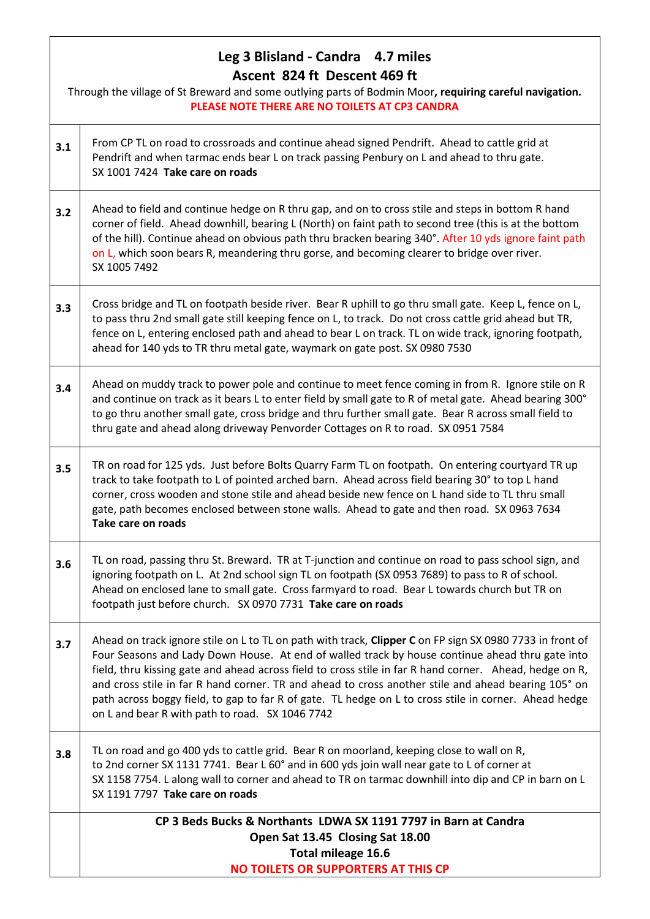#### **Leg 3 Blisland - Candra 4.7 miles Ascent 824 ft Descent 469 ft**

Through the village of St Breward and some outlying parts of Bodmin Moor**, requiring careful navigation. PLEASE NOTE THERE ARE NO TOILETS AT CP3 CANDRA 3.1** From CP TL on road to crossroads and continue ahead signed Pendrift. Ahead to cattle grid at Pendrift and when tarmac ends bear L on track passing Penbury on L and ahead to thru gate. SX 1001 7424 **Take care on roads 3.2** Ahead to field and continue hedge on R thru gap, and on to cross stile and steps in bottom R hand corner of field. Ahead downhill, bearing L (North) on faint path to second tree (this is at the bottom of the hill). Continue ahead on obvious path thru bracken bearing 340°. After 10 yds ignore faint path on L, which soon bears R, meandering thru gorse, and becoming clearer to bridge over river. SX 1005 7492 **3.3** Cross bridge and TL on footpath beside river. Bear R uphill to go thru small gate. Keep L, fence on L, to pass thru 2nd small gate still keeping fence on L, to track. Do not cross cattle grid ahead but TR, fence on L, entering enclosed path and ahead to bear L on track. TL on wide track, ignoring footpath, ahead for 140 yds to TR thru metal gate, waymark on gate post. SX 0980 7530 **3.4** Ahead on muddy track to power pole and continue to meet fence coming in from R. Ignore stile on R and continue on track as it bears L to enter field by small gate to R of metal gate. Ahead bearing 300° to go thru another small gate, cross bridge and thru further small gate. Bear R across small field to thru gate and ahead along driveway Penvorder Cottages on R to road. SX 0951 7584 **3.5** TR on road for 125 yds. Just before Bolts Quarry Farm TL on footpath. On entering courtyard TR up track to take footpath to L of pointed arched barn. Ahead across field bearing 30° to top L hand corner, cross wooden and stone stile and ahead beside new fence on L hand side to TL thru small gate, path becomes enclosed between stone walls. Ahead to gate and then road. SX 0963 7634 **Take care on roads 3.6** TL on road, passing thru St. Breward. TR at T-junction and continue on road to pass school sign, and ignoring footpath on L. At 2nd school sign TL on footpath (SX 0953 7689) to pass to R of school. Ahead on enclosed lane to small gate. Cross farmyard to road. Bear L towards church but TR on footpath just before church. SX 0970 7731 **Take care on roads 3.7** Ahead on track ignore stile on L to TL on path with track, **Clipper C** on FP sign SX 0980 7733 in front of Four Seasons and Lady Down House. At end of walled track by house continue ahead thru gate into field, thru kissing gate and ahead across field to cross stile in far R hand corner. Ahead, hedge on R, and cross stile in far R hand corner. TR and ahead to cross another stile and ahead bearing 105° on path across boggy field, to gap to far R of gate. TL hedge on L to cross stile in corner. Ahead hedge on L and bear R with path to road. SX 1046 7742 **3.8** TL on road and go 400 yds to cattle grid. Bear R on moorland, keeping close to wall on R, to 2nd corner SX 1131 7741. Bear L 60° and in 600 yds join wall near gate to L of corner at SX 1158 7754. L along wall to corner and ahead to TR on tarmac downhill into dip and CP in barn on L SX 1191 7797 **Take care on roads CP 3 Beds Bucks & Northants LDWA SX 1191 7797 in Barn at Candra Open Sat 13.45 Closing Sat 18.00 Total mileage 16.6 NO TOILETS OR SUPPORTERS AT THIS CP**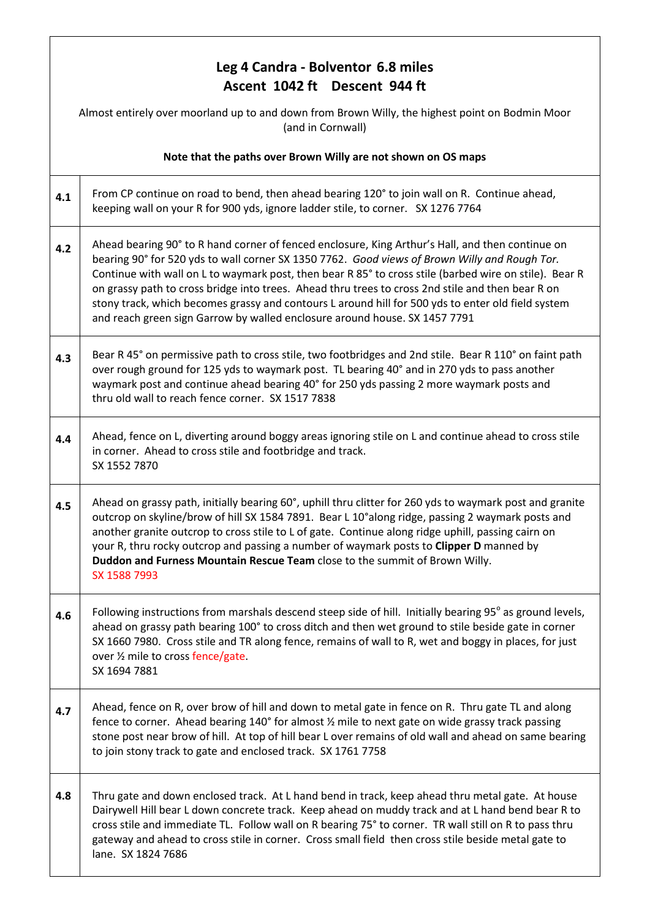# **Leg 4 Candra - Bolventor 6.8 miles Ascent 1042 ft Descent 944 ft** Almost entirely over moorland up to and down from Brown Willy, the highest point on Bodmin Moor (and in Cornwall) **Note that the paths over Brown Willy are not shown on OS maps 4.1** From CP continue on road to bend, then ahead bearing 120° to join wall on R. Continue ahead, keeping wall on your R for 900 yds, ignore ladder stile, to corner. SX 1276 7764 **4.2** Ahead bearing 90° to R hand corner of fenced enclosure, King Arthur's Hall, and then continue on bearing 90° for 520 yds to wall corner SX 1350 7762. *Good views of Brown Willy and Rough Tor.*  Continue with wall on L to waymark post, then bear R 85° to cross stile (barbed wire on stile). Bear R on grassy path to cross bridge into trees. Ahead thru trees to cross 2nd stile and then bear R on stony track, which becomes grassy and contours L around hill for 500 yds to enter old field system and reach green sign Garrow by walled enclosure around house. SX 1457 7791 **4.3** Bear R 45° on permissive path to cross stile, two footbridges and 2nd stile. Bear R 110° on faint path over rough ground for 125 yds to waymark post. TL bearing 40° and in 270 yds to pass another waymark post and continue ahead bearing 40° for 250 yds passing 2 more waymark posts and thru old wall to reach fence corner. SX 1517 7838 **4.4** Ahead, fence on L, diverting around boggy areas ignoring stile on L and continue ahead to cross stile in corner. Ahead to cross stile and footbridge and track. SX 1552 7870 **4.5** Ahead on grassy path, initially bearing 60°, uphill thru clitter for 260 yds to waymark post and granite outcrop on skyline/brow of hill SX 1584 7891. Bear L 10°along ridge, passing 2 waymark posts and another granite outcrop to cross stile to L of gate. Continue along ridge uphill, passing cairn on your R, thru rocky outcrop and passing a number of waymark posts to **Clipper D** manned by **Duddon and Furness Mountain Rescue Team** close to the summit of Brown Willy. SX 1588 7993 **4.6 Following instructions from marshals descend steep side of hill. Initially bearing 95° as ground levels,** ahead on grassy path bearing 100° to cross ditch and then wet ground to stile beside gate in corner SX 1660 7980. Cross stile and TR along fence, remains of wall to R, wet and boggy in places, for just over ½ mile to cross fence/gate. SX 1694 7881 **4.7** Ahead, fence on R, over brow of hill and down to metal gate in fence on R. Thru gate TL and along fence to corner. Ahead bearing 140° for almost ½ mile to next gate on wide grassy track passing stone post near brow of hill. At top of hill bear L over remains of old wall and ahead on same bearing to join stony track to gate and enclosed track. SX 1761 7758 **4.8** Thru gate and down enclosed track. At L hand bend in track, keep ahead thru metal gate. At house Dairywell Hill bear L down concrete track. Keep ahead on muddy track and at L hand bend bear R to cross stile and immediate TL. Follow wall on R bearing 75° to corner. TR wall still on R to pass thru gateway and ahead to cross stile in corner. Cross small field then cross stile beside metal gate to lane. SX 1824 7686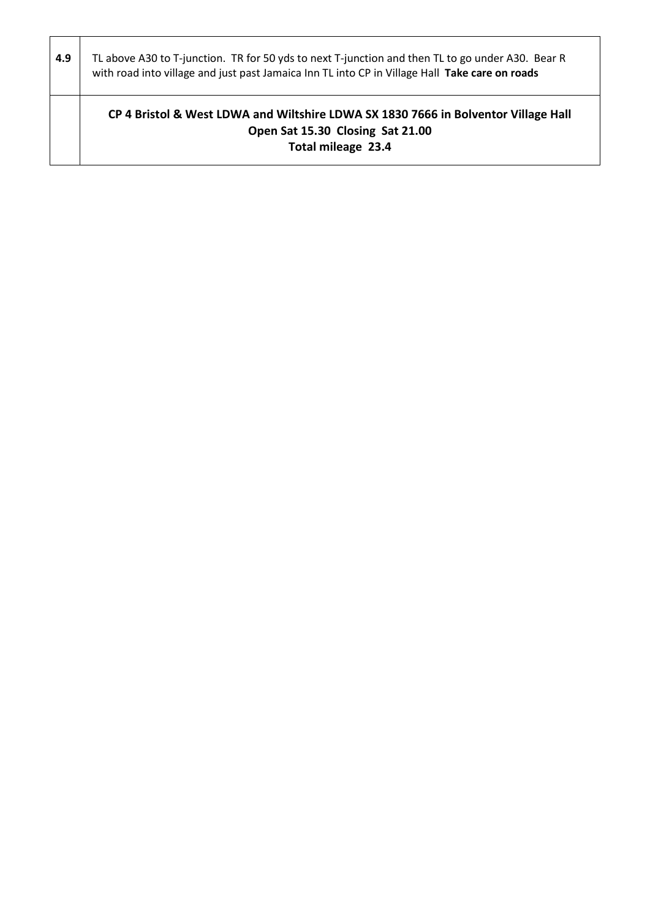| 4.9 | TL above A30 to T-junction. TR for 50 yds to next T-junction and then TL to go under A30. Bear R<br>with road into village and just past Jamaica Inn TL into CP in Village Hall Take care on roads |
|-----|----------------------------------------------------------------------------------------------------------------------------------------------------------------------------------------------------|
|     | CP 4 Bristol & West LDWA and Wiltshire LDWA SX 1830 7666 in Bolventor Village Hall<br>Open Sat 15.30 Closing Sat 21.00<br>Total mileage 23.4                                                       |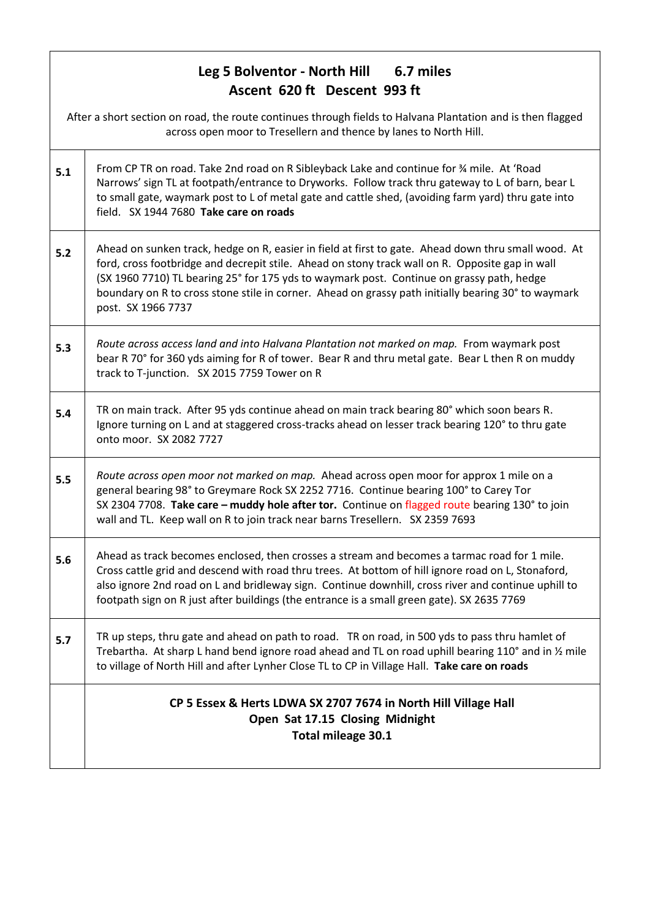### **Leg 5 Bolventor - North Hill 6.7 miles Ascent 620 ft Descent 993 ft**

|     | After a short section on road, the route continues through fields to Halvana Plantation and is then flagged<br>across open moor to Tresellern and thence by lanes to North Hill.                                                                                                                                                                                                                                                 |  |
|-----|----------------------------------------------------------------------------------------------------------------------------------------------------------------------------------------------------------------------------------------------------------------------------------------------------------------------------------------------------------------------------------------------------------------------------------|--|
| 5.1 | From CP TR on road. Take 2nd road on R Sibleyback Lake and continue for % mile. At 'Road<br>Narrows' sign TL at footpath/entrance to Dryworks. Follow track thru gateway to L of barn, bear L<br>to small gate, waymark post to L of metal gate and cattle shed, (avoiding farm yard) thru gate into<br>field. SX 1944 7680 Take care on roads                                                                                   |  |
| 5.2 | Ahead on sunken track, hedge on R, easier in field at first to gate. Ahead down thru small wood. At<br>ford, cross footbridge and decrepit stile. Ahead on stony track wall on R. Opposite gap in wall<br>(SX 1960 7710) TL bearing 25° for 175 yds to waymark post. Continue on grassy path, hedge<br>boundary on R to cross stone stile in corner. Ahead on grassy path initially bearing 30° to waymark<br>post. SX 1966 7737 |  |
| 5.3 | Route across access land and into Halvana Plantation not marked on map. From waymark post<br>bear R 70° for 360 yds aiming for R of tower. Bear R and thru metal gate. Bear L then R on muddy<br>track to T-junction. SX 2015 7759 Tower on R                                                                                                                                                                                    |  |
| 5.4 | TR on main track. After 95 yds continue ahead on main track bearing 80° which soon bears R.<br>Ignore turning on L and at staggered cross-tracks ahead on lesser track bearing 120° to thru gate<br>onto moor. SX 2082 7727                                                                                                                                                                                                      |  |
| 5.5 | Route across open moor not marked on map. Ahead across open moor for approx 1 mile on a<br>general bearing 98° to Greymare Rock SX 2252 7716. Continue bearing 100° to Carey Tor<br>SX 2304 7708. Take care - muddy hole after tor. Continue on flagged route bearing 130° to join<br>wall and TL. Keep wall on R to join track near barns Tresellern. SX 2359 7693                                                              |  |
| 5.6 | Ahead as track becomes enclosed, then crosses a stream and becomes a tarmac road for 1 mile.<br>Cross cattle grid and descend with road thru trees. At bottom of hill ignore road on L, Stonaford,<br>also ignore 2nd road on L and bridleway sign. Continue downhill, cross river and continue uphill to<br>footpath sign on R just after buildings (the entrance is a small green gate). SX 2635 7769                          |  |
| 5.7 | TR up steps, thru gate and ahead on path to road. TR on road, in 500 yds to pass thru hamlet of<br>Trebartha. At sharp L hand bend ignore road ahead and TL on road uphill bearing 110° and in $\frac{1}{2}$ mile<br>to village of North Hill and after Lynher Close TL to CP in Village Hall. Take care on roads                                                                                                                |  |
|     | CP 5 Essex & Herts LDWA SX 2707 7674 in North Hill Village Hall<br>Open Sat 17.15 Closing Midnight<br>Total mileage 30.1                                                                                                                                                                                                                                                                                                         |  |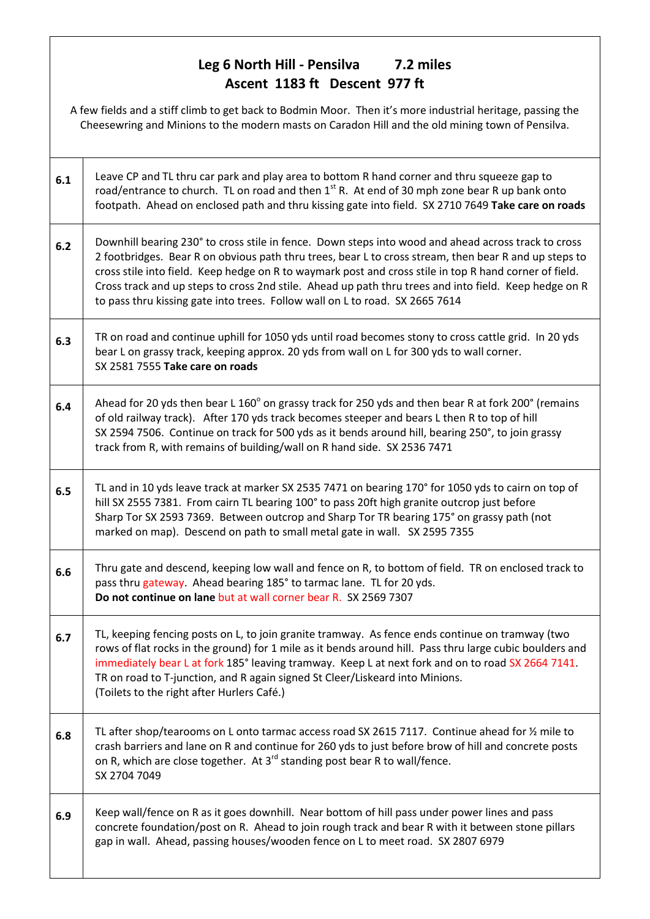### **Leg 6 North Hill - Pensilva 7.2 miles Ascent 1183 ft Descent 977 ft**

A few fields and a stiff climb to get back to Bodmin Moor. Then it's more industrial heritage, passing the Cheesewring and Minions to the modern masts on Caradon Hill and the old mining town of Pensilva.

| 6.1 | Leave CP and TL thru car park and play area to bottom R hand corner and thru squeeze gap to<br>road/entrance to church. TL on road and then 1 <sup>st</sup> R. At end of 30 mph zone bear R up bank onto<br>footpath. Ahead on enclosed path and thru kissing gate into field. SX 2710 7649 Take care on roads                                                                                                                                                                                                  |
|-----|-----------------------------------------------------------------------------------------------------------------------------------------------------------------------------------------------------------------------------------------------------------------------------------------------------------------------------------------------------------------------------------------------------------------------------------------------------------------------------------------------------------------|
| 6.2 | Downhill bearing 230° to cross stile in fence. Down steps into wood and ahead across track to cross<br>2 footbridges. Bear R on obvious path thru trees, bear L to cross stream, then bear R and up steps to<br>cross stile into field. Keep hedge on R to waymark post and cross stile in top R hand corner of field.<br>Cross track and up steps to cross 2nd stile. Ahead up path thru trees and into field. Keep hedge on R<br>to pass thru kissing gate into trees. Follow wall on L to road. SX 2665 7614 |
| 6.3 | TR on road and continue uphill for 1050 yds until road becomes stony to cross cattle grid. In 20 yds<br>bear L on grassy track, keeping approx. 20 yds from wall on L for 300 yds to wall corner.<br>SX 2581 7555 Take care on roads                                                                                                                                                                                                                                                                            |
| 6.4 | Ahead for 20 yds then bear L 160° on grassy track for 250 yds and then bear R at fork 200° (remains<br>of old railway track). After 170 yds track becomes steeper and bears L then R to top of hill<br>SX 2594 7506. Continue on track for 500 yds as it bends around hill, bearing 250°, to join grassy<br>track from R, with remains of building/wall on R hand side. SX 2536 7471                                                                                                                            |
| 6.5 | TL and in 10 yds leave track at marker SX 2535 7471 on bearing 170° for 1050 yds to cairn on top of<br>hill SX 2555 7381. From cairn TL bearing 100° to pass 20ft high granite outcrop just before<br>Sharp Tor SX 2593 7369. Between outcrop and Sharp Tor TR bearing 175° on grassy path (not<br>marked on map). Descend on path to small metal gate in wall. SX 2595 7355                                                                                                                                    |
| 6.6 | Thru gate and descend, keeping low wall and fence on R, to bottom of field. TR on enclosed track to<br>pass thru gateway. Ahead bearing 185° to tarmac lane. TL for 20 yds.<br>Do not continue on lane but at wall corner bear R. SX 2569 7307                                                                                                                                                                                                                                                                  |
| 6.7 | TL, keeping fencing posts on L, to join granite tramway. As fence ends continue on tramway (two<br>rows of flat rocks in the ground) for 1 mile as it bends around hill. Pass thru large cubic boulders and<br>immediately bear L at fork 185° leaving tramway. Keep L at next fork and on to road SX 2664 7141.<br>TR on road to T-junction, and R again signed St Cleer/Liskeard into Minions.<br>(Toilets to the right after Hurlers Café.)                                                                  |
| 6.8 | TL after shop/tearooms on L onto tarmac access road SX 2615 7117. Continue ahead for 1/2 mile to<br>crash barriers and lane on R and continue for 260 yds to just before brow of hill and concrete posts<br>on R, which are close together. At 3 <sup>rd</sup> standing post bear R to wall/fence.<br>SX 2704 7049                                                                                                                                                                                              |
| 6.9 | Keep wall/fence on R as it goes downhill. Near bottom of hill pass under power lines and pass<br>concrete foundation/post on R. Ahead to join rough track and bear R with it between stone pillars<br>gap in wall. Ahead, passing houses/wooden fence on L to meet road. SX 2807 6979                                                                                                                                                                                                                           |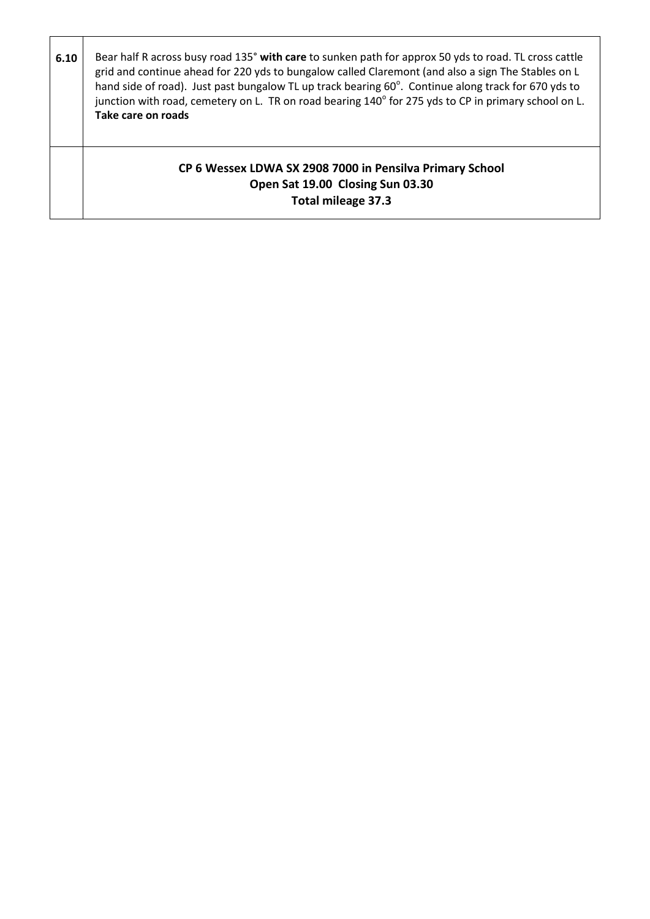| 6.10 | Bear half R across busy road 135° with care to sunken path for approx 50 yds to road. TL cross cattle<br>grid and continue ahead for 220 yds to bungalow called Claremont (and also a sign The Stables on L<br>hand side of road). Just past bungalow TL up track bearing 60°. Continue along track for 670 yds to<br>junction with road, cemetery on L. TR on road bearing 140° for 275 yds to CP in primary school on L.<br>Take care on roads |
|------|--------------------------------------------------------------------------------------------------------------------------------------------------------------------------------------------------------------------------------------------------------------------------------------------------------------------------------------------------------------------------------------------------------------------------------------------------|
|      | CP 6 Wessex LDWA SX 2908 7000 in Pensilva Primary School<br>Open Sat 19.00 Closing Sun 03.30<br><b>Total mileage 37.3</b>                                                                                                                                                                                                                                                                                                                        |

 $\mathbf{r}$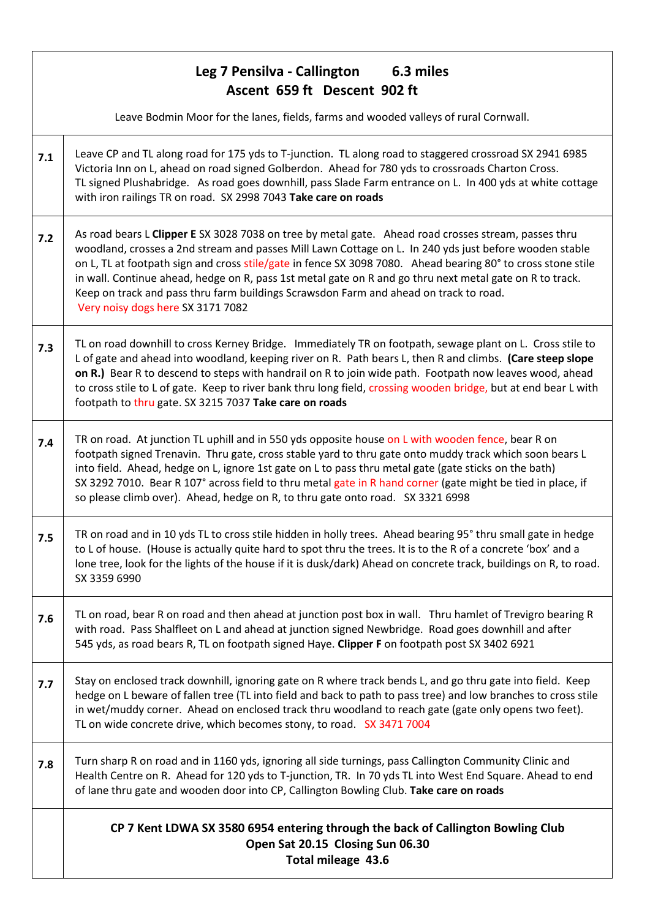### **Leg 7 Pensilva - Callington 6.3 miles Ascent 659 ft Descent 902 ft**

l

Leave Bodmin Moor for the lanes, fields, farms and wooded valleys of rural Cornwall.

- **7.1** Leave CP and TL along road for 175 yds to T-junction. TL along road to staggered crossroad SX 2941 6985 Victoria Inn on L, ahead on road signed Golberdon. Ahead for 780 yds to crossroads Charton Cross. TL signed Plushabridge. As road goes downhill, pass Slade Farm entrance on L. In 400 yds at white cottage with iron railings TR on road. SX 2998 7043 **Take care on roads 7.2** As road bears L **Clipper E** SX 3028 7038 on tree by metal gate. Ahead road crosses stream, passes thru woodland, crosses a 2nd stream and passes Mill Lawn Cottage on L. In 240 yds just before wooden stable on L, TL at footpath sign and cross stile/gate in fence SX 3098 7080. Ahead bearing 80° to cross stone stile
- in wall. Continue ahead, hedge on R, pass 1st metal gate on R and go thru next metal gate on R to track. Keep on track and pass thru farm buildings Scrawsdon Farm and ahead on track to road. Very noisy dogs here SX 3171 7082
- **7.3** TL on road downhill to cross Kerney Bridge. Immediately TR on footpath, sewage plant on L. Cross stile to L of gate and ahead into woodland, keeping river on R. Path bears L, then R and climbs. **(Care steep slope on R.)** Bear R to descend to steps with handrail on R to join wide path. Footpath now leaves wood, ahead to cross stile to L of gate. Keep to river bank thru long field, crossing wooden bridge, but at end bear L with footpath to thru gate. SX 3215 7037 **Take care on roads**
- **7.4** TR on road. At junction TL uphill and in 550 yds opposite house on L with wooden fence, bear R on footpath signed Trenavin. Thru gate, cross stable yard to thru gate onto muddy track which soon bears L into field. Ahead, hedge on L, ignore 1st gate on L to pass thru metal gate (gate sticks on the bath) SX 3292 7010. Bear R 107° across field to thru metal gate in R hand corner (gate might be tied in place, if so please climb over). Ahead, hedge on R, to thru gate onto road. SX 3321 6998
- **7.5** TR on road and in 10 yds TL to cross stile hidden in holly trees. Ahead bearing 95° thru small gate in hedge to L of house. (House is actually quite hard to spot thru the trees. It is to the R of a concrete 'box' and a lone tree, look for the lights of the house if it is dusk/dark) Ahead on concrete track, buildings on R, to road. SX 3359 6990
- **7.6** TL on road, bear R on road and then ahead at junction post box in wall. Thru hamlet of Trevigro bearing R with road. Pass Shalfleet on L and ahead at junction signed Newbridge. Road goes downhill and after 545 yds, as road bears R, TL on footpath signed Haye. **Clipper F** on footpath post SX 3402 6921
- **7.7** Stay on enclosed track downhill, ignoring gate on R where track bends L, and go thru gate into field. Keep hedge on L beware of fallen tree (TL into field and back to path to pass tree) and low branches to cross stile in wet/muddy corner. Ahead on enclosed track thru woodland to reach gate (gate only opens two feet). TL on wide concrete drive, which becomes stony, to road. SX 3471 7004
- **7.8** Turn sharp R on road and in 1160 yds, ignoring all side turnings, pass Callington Community Clinic and Health Centre on R. Ahead for 120 yds to T-junction, TR. In 70 yds TL into West End Square. Ahead to end of lane thru gate and wooden door into CP, Callington Bowling Club. **Take care on roads**

#### **CP 7 Kent LDWA SX 3580 6954 entering through the back of Callington Bowling Club Open Sat 20.15 Closing Sun 06.30 Total mileage 43.6**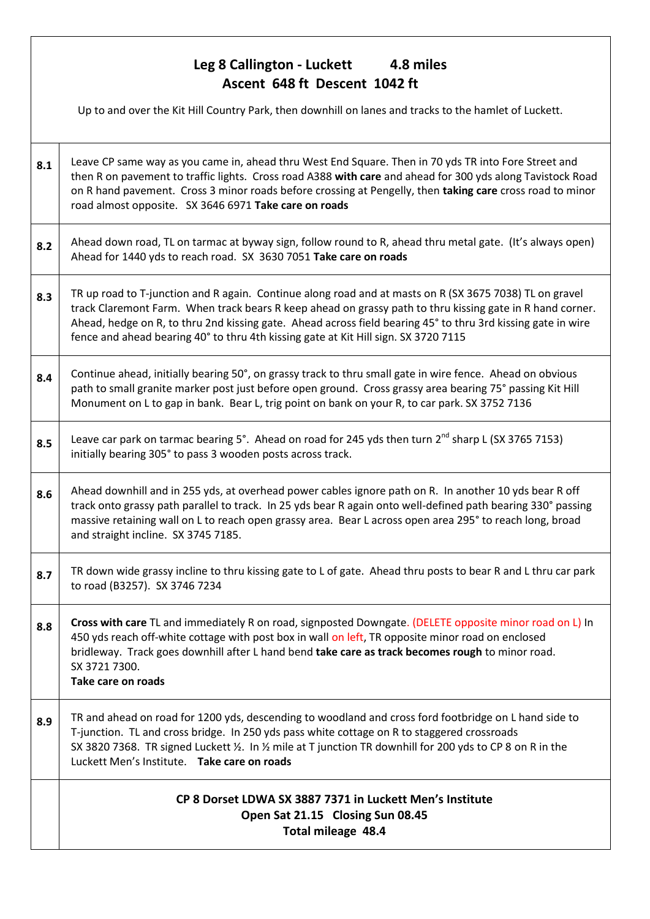### **Leg 8 Callington - Luckett 4.8 miles Ascent 648 ft Descent 1042 ft**

Up to and over the Kit Hill Country Park, then downhill on lanes and tracks to the hamlet of Luckett. **8.1** Leave CP same way as you came in, ahead thru West End Square. Then in 70 yds TR into Fore Street and then R on pavement to traffic lights. Cross road A388 **with care** and ahead for 300 yds along Tavistock Road on R hand pavement. Cross 3 minor roads before crossing at Pengelly, then **taking care** cross road to minor road almost opposite. SX 3646 6971 **Take care on roads 8.2** Ahead down road, TL on tarmac at byway sign, follow round to R, ahead thru metal gate. (It's always open) Ahead for 1440 yds to reach road. SX 3630 7051 **Take care on roads 8.3** TR up road to T-junction and R again. Continue along road and at masts on R (SX 3675 7038) TL on gravel track Claremont Farm. When track bears R keep ahead on grassy path to thru kissing gate in R hand corner. Ahead, hedge on R, to thru 2nd kissing gate. Ahead across field bearing 45° to thru 3rd kissing gate in wire fence and ahead bearing 40° to thru 4th kissing gate at Kit Hill sign. SX 3720 7115 **8.4** Continue ahead, initially bearing 50°, on grassy track to thru small gate in wire fence. Ahead on obvious path to small granite marker post just before open ground. Cross grassy area bearing 75° passing Kit Hill Monument on L to gap in bank. Bear L, trig point on bank on your R, to car park. SX 3752 7136 **8.5** Leave car park on tarmac bearing 5°. Ahead on road for 245 yds then turn 2<sup>nd</sup> sharp L (SX 3765 7153) initially bearing 305° to pass 3 wooden posts across track. **8.6** Ahead downhill and in 255 yds, at overhead power cables ignore path on R. In another 10 yds bear R off track onto grassy path parallel to track. In 25 yds bear R again onto well-defined path bearing 330° passing massive retaining wall on L to reach open grassy area. Bear L across open area 295° to reach long, broad and straight incline. SX 3745 7185. **8.7** TR down wide grassy incline to thru kissing gate to L of gate. Ahead thru posts to bear R and L thru car park to road (B3257). SX 3746 7234 **8.8 Cross with care** TL and immediately R on road, signposted Downgate. (DELETE opposite minor road on L) In 450 yds reach off-white cottage with post box in wall on left, TR opposite minor road on enclosed bridleway. Track goes downhill after L hand bend **take care as track becomes rough** to minor road. SX 3721 7300. **Take care on roads 8.9** TR and ahead on road for 1200 yds, descending to woodland and cross ford footbridge on L hand side to T-junction. TL and cross bridge. In 250 yds pass white cottage on R to staggered crossroads SX 3820 7368. TR signed Luckett ½. In ½ mile at T junction TR downhill for 200 yds to CP 8 on R in the Luckett Men's Institute. **Take care on roads CP 8 Dorset LDWA SX 3887 7371 in Luckett Men's Institute Open Sat 21.15 Closing Sun 08.45 Total mileage 48.4**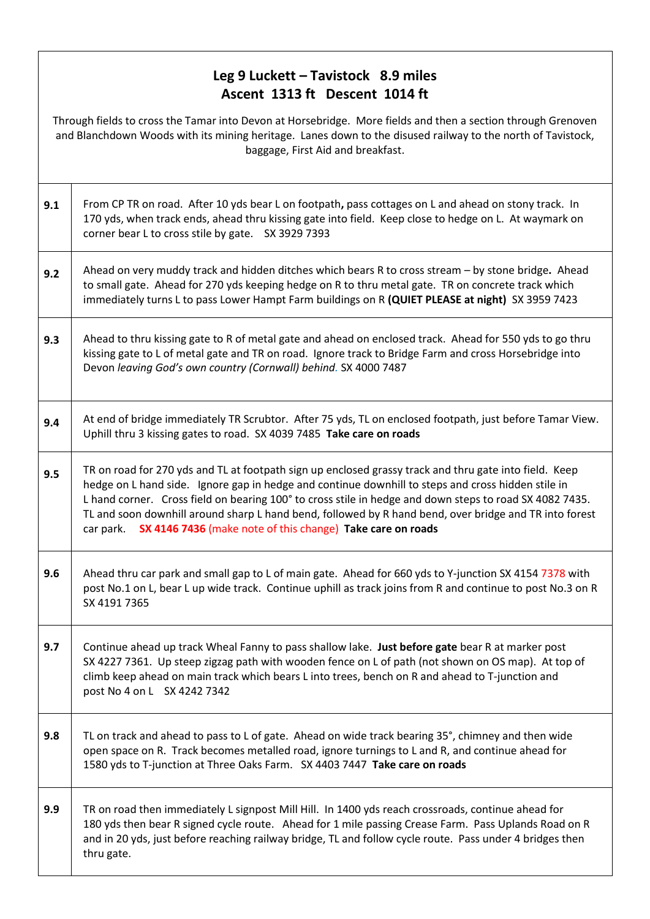#### **Leg 9 Luckett – Tavistock 8.9 miles Ascent 1313 ft Descent 1014 ft**

Through fields to cross the Tamar into Devon at Horsebridge. More fields and then a section through Grenoven and Blanchdown Woods with its mining heritage. Lanes down to the disused railway to the north of Tavistock, baggage, First Aid and breakfast.

| 9.1 | From CP TR on road. After 10 yds bear L on footpath, pass cottages on L and ahead on stony track. In<br>170 yds, when track ends, ahead thru kissing gate into field. Keep close to hedge on L. At waymark on<br>corner bear L to cross stile by gate. SX 3929 7393                                                                                                                                                                                                                                          |
|-----|--------------------------------------------------------------------------------------------------------------------------------------------------------------------------------------------------------------------------------------------------------------------------------------------------------------------------------------------------------------------------------------------------------------------------------------------------------------------------------------------------------------|
| 9.2 | Ahead on very muddy track and hidden ditches which bears R to cross stream - by stone bridge. Ahead<br>to small gate. Ahead for 270 yds keeping hedge on R to thru metal gate. TR on concrete track which<br>immediately turns L to pass Lower Hampt Farm buildings on R (QUIET PLEASE at night) SX 3959 7423                                                                                                                                                                                                |
| 9.3 | Ahead to thru kissing gate to R of metal gate and ahead on enclosed track. Ahead for 550 yds to go thru<br>kissing gate to L of metal gate and TR on road. Ignore track to Bridge Farm and cross Horsebridge into<br>Devon leaving God's own country (Cornwall) behind. SX 4000 7487                                                                                                                                                                                                                         |
| 9.4 | At end of bridge immediately TR Scrubtor. After 75 yds, TL on enclosed footpath, just before Tamar View.<br>Uphill thru 3 kissing gates to road. SX 4039 7485 Take care on roads                                                                                                                                                                                                                                                                                                                             |
| 9.5 | TR on road for 270 yds and TL at footpath sign up enclosed grassy track and thru gate into field. Keep<br>hedge on L hand side. Ignore gap in hedge and continue downhill to steps and cross hidden stile in<br>L hand corner. Cross field on bearing 100° to cross stile in hedge and down steps to road SX 4082 7435.<br>TL and soon downhill around sharp L hand bend, followed by R hand bend, over bridge and TR into forest<br>SX 4146 7436 (make note of this change) Take care on roads<br>car park. |
| 9.6 | Ahead thru car park and small gap to L of main gate. Ahead for 660 yds to Y-junction SX 4154 7378 with<br>post No.1 on L, bear L up wide track. Continue uphill as track joins from R and continue to post No.3 on R<br>SX 4191 7365                                                                                                                                                                                                                                                                         |
| 9.7 | Continue ahead up track Wheal Fanny to pass shallow lake. Just before gate bear R at marker post<br>SX 4227 7361. Up steep zigzag path with wooden fence on L of path (not shown on OS map). At top of<br>climb keep ahead on main track which bears L into trees, bench on R and ahead to T-junction and<br>post No 4 on L SX 4242 7342                                                                                                                                                                     |
| 9.8 | TL on track and ahead to pass to L of gate. Ahead on wide track bearing 35°, chimney and then wide<br>open space on R. Track becomes metalled road, ignore turnings to L and R, and continue ahead for<br>1580 yds to T-junction at Three Oaks Farm. SX 4403 7447 Take care on roads                                                                                                                                                                                                                         |
| 9.9 | TR on road then immediately L signpost Mill Hill. In 1400 yds reach crossroads, continue ahead for<br>180 yds then bear R signed cycle route. Ahead for 1 mile passing Crease Farm. Pass Uplands Road on R<br>and in 20 yds, just before reaching railway bridge, TL and follow cycle route. Pass under 4 bridges then<br>thru gate.                                                                                                                                                                         |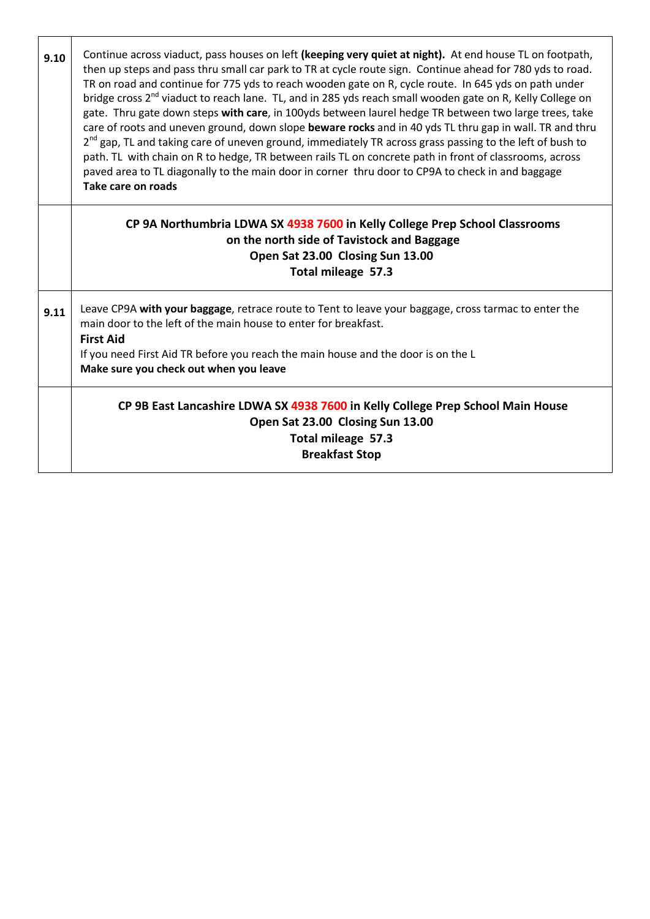| 9.10 | Continue across viaduct, pass houses on left (keeping very quiet at night). At end house TL on footpath,<br>then up steps and pass thru small car park to TR at cycle route sign. Continue ahead for 780 yds to road.<br>TR on road and continue for 775 yds to reach wooden gate on R, cycle route. In 645 yds on path under<br>bridge cross 2 <sup>nd</sup> viaduct to reach lane. TL, and in 285 yds reach small wooden gate on R, Kelly College on<br>gate. Thru gate down steps with care, in 100yds between laurel hedge TR between two large trees, take<br>care of roots and uneven ground, down slope beware rocks and in 40 yds TL thru gap in wall. TR and thru<br>2 <sup>nd</sup> gap, TL and taking care of uneven ground, immediately TR across grass passing to the left of bush to<br>path. TL with chain on R to hedge, TR between rails TL on concrete path in front of classrooms, across<br>paved area to TL diagonally to the main door in corner thru door to CP9A to check in and baggage<br>Take care on roads |
|------|----------------------------------------------------------------------------------------------------------------------------------------------------------------------------------------------------------------------------------------------------------------------------------------------------------------------------------------------------------------------------------------------------------------------------------------------------------------------------------------------------------------------------------------------------------------------------------------------------------------------------------------------------------------------------------------------------------------------------------------------------------------------------------------------------------------------------------------------------------------------------------------------------------------------------------------------------------------------------------------------------------------------------------------|
|      | CP 9A Northumbria LDWA SX 4938 7600 in Kelly College Prep School Classrooms<br>on the north side of Tavistock and Baggage<br>Open Sat 23.00 Closing Sun 13.00<br>Total mileage 57.3                                                                                                                                                                                                                                                                                                                                                                                                                                                                                                                                                                                                                                                                                                                                                                                                                                                    |
| 9.11 | Leave CP9A with your baggage, retrace route to Tent to leave your baggage, cross tarmac to enter the<br>main door to the left of the main house to enter for breakfast.<br><b>First Aid</b><br>If you need First Aid TR before you reach the main house and the door is on the L<br>Make sure you check out when you leave                                                                                                                                                                                                                                                                                                                                                                                                                                                                                                                                                                                                                                                                                                             |
|      | CP 9B East Lancashire LDWA SX 4938 7600 in Kelly College Prep School Main House<br>Open Sat 23.00 Closing Sun 13.00<br>Total mileage 57.3<br><b>Breakfast Stop</b>                                                                                                                                                                                                                                                                                                                                                                                                                                                                                                                                                                                                                                                                                                                                                                                                                                                                     |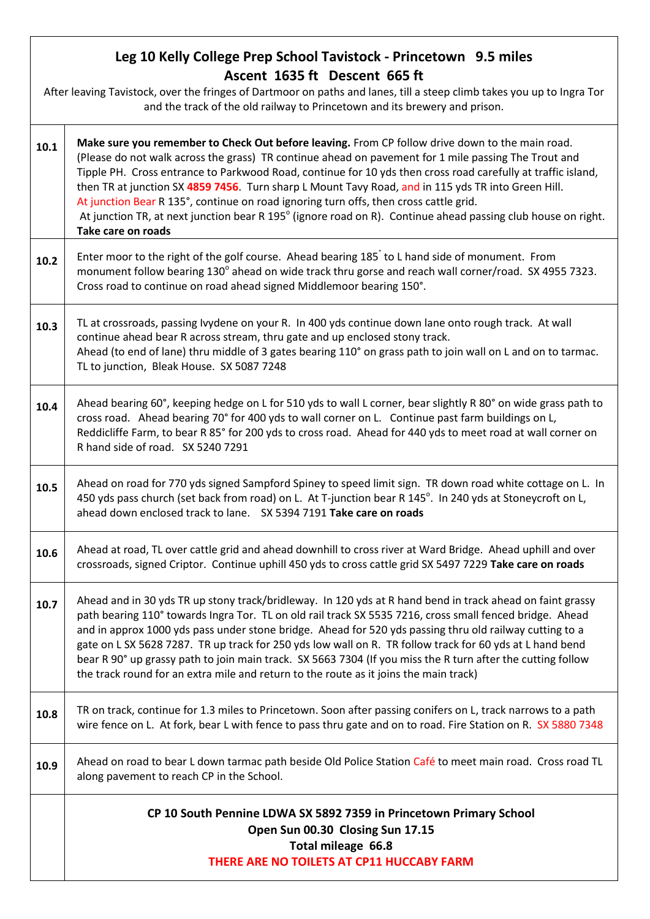# **Leg 10 Kelly College Prep School Tavistock - Princetown 9.5 miles Ascent 1635 ft Descent 665 ft** After leaving Tavistock, over the fringes of Dartmoor on paths and lanes, till a steep climb takes you up to Ingra Tor and the track of the old railway to Princetown and its brewery and prison. **10.1 Make sure you remember to Check Out before leaving.** From CP follow drive down to the main road. (Please do not walk across the grass) TR continue ahead on pavement for 1 mile passing The Trout and Tipple PH. Cross entrance to Parkwood Road, continue for 10 yds then cross road carefully at traffic island, then TR at junction SX **4859 7456**. Turn sharp L Mount Tavy Road, and in 115 yds TR into Green Hill. At junction Bear R 135°, continue on road ignoring turn offs, then cross cattle grid. At junction TR, at next junction bear R 195 $^{\circ}$  (ignore road on R). Continue ahead passing club house on right. **Take care on roads 10.2** Enter moor to the right of the golf course. Ahead bearing 185<sup>°</sup> to L hand side of monument. From monument follow bearing 130° ahead on wide track thru gorse and reach wall corner/road. SX 4955 7323. Cross road to continue on road ahead signed Middlemoor bearing 150°. **10.3** TL at crossroads, passing Ivydene on your R. In 400 yds continue down lane onto rough track. At wall continue ahead bear R across stream, thru gate and up enclosed stony track. Ahead (to end of lane) thru middle of 3 gates bearing 110° on grass path to join wall on L and on to tarmac. TL to junction, Bleak House. SX 5087 7248 **10.4** Ahead bearing 60°, keeping hedge on L for 510 yds to wall L corner, bear slightly R 80° on wide grass path to cross road. Ahead bearing 70° for 400 yds to wall corner on L. Continue past farm buildings on L, Reddicliffe Farm, to bear R 85° for 200 yds to cross road. Ahead for 440 yds to meet road at wall corner on R hand side of road. SX 5240 7291 **10.5** Ahead on road for 770 yds signed Sampford Spiney to speed limit sign. TR down road white cottage on L. In 450 yds pass church (set back from road) on L. At T-junction bear R 145 $^{\circ}$ . In 240 yds at Stoneycroft on L, ahead down enclosed track to lane. SX 5394 7191 **Take care on roads 10.6** Ahead at road, TL over cattle grid and ahead downhill to cross river at Ward Bridge. Ahead uphill and over crossroads, signed Criptor. Continue uphill 450 yds to cross cattle grid SX 5497 7229 **Take care on roads 10.7** Ahead and in 30 yds TR up stony track/bridleway. In 120 yds at R hand bend in track ahead on faint grassy path bearing 110° towards Ingra Tor. TL on old rail track SX 5535 7216, cross small fenced bridge. Ahead and in approx 1000 yds pass under stone bridge. Ahead for 520 yds passing thru old railway cutting to a gate on L SX 5628 7287. TR up track for 250 yds low wall on R. TR follow track for 60 yds at L hand bend bear R 90° up grassy path to join main track. SX 5663 7304 (If you miss the R turn after the cutting follow the track round for an extra mile and return to the route as it joins the main track) **10.8** TR on track, continue for 1.3 miles to Princetown. Soon after passing conifers on L, track narrows to a path wire fence on L. At fork, bear L with fence to pass thru gate and on to road. Fire Station on R. SX 5880 7348 **10.9** Ahead on road to bear L down tarmac path beside Old Police Station Café to meet main road. Cross road TL along pavement to reach CP in the School. **CP 10 South Pennine LDWA SX 5892 7359 in Princetown Primary School Open Sun 00.30 Closing Sun 17.15 Total mileage 66.8 THERE ARE NO TOILETS AT CP11 HUCCABY FARM**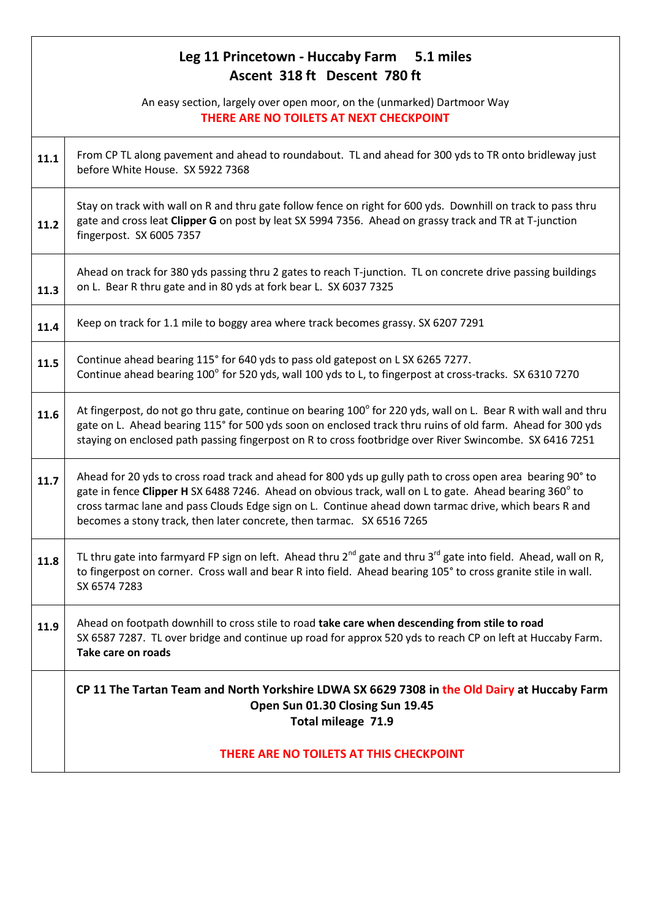# **Leg 11 Princetown - Huccaby Farm 5.1 miles Ascent 318 ft Descent 780 ft** An easy section, largely over open moor, on the (unmarked) Dartmoor Way **THERE ARE NO TOILETS AT NEXT CHECKPOINT 11.1** From CP TL along pavement and ahead to roundabout. TL and ahead for 300 yds to TR onto bridleway just before White House. SX 5922 7368 **11.2** Stay on track with wall on R and thru gate follow fence on right for 600 yds. Downhill on track to pass thru gate and cross leat **Clipper G** on post by leat SX 5994 7356. Ahead on grassy track and TR at T-junction fingerpost. SX 6005 7357 **11.3** Ahead on track for 380 yds passing thru 2 gates to reach T-junction. TL on concrete drive passing buildings on L. Bear R thru gate and in 80 yds at fork bear L. SX 6037 7325 **11.4** Keep on track for 1.1 mile to boggy area where track becomes grassy. SX 6207 7291 **11.5** Continue ahead bearing 115° for 640 yds to pass old gatepost on L SX 6265 7277. Continue ahead bearing 100° for 520 yds, wall 100 yds to L, to fingerpost at cross-tracks. SX 6310 7270 **11.6** At fingerpost, do not go thru gate, continue on bearing  $100^\circ$  for 220 yds, wall on L. Bear R with wall and thru gate on L. Ahead bearing 115° for 500 yds soon on enclosed track thru ruins of old farm. Ahead for 300 yds staying on enclosed path passing fingerpost on R to cross footbridge over River Swincombe. SX 6416 7251 **11.7** Ahead for 20 yds to cross road track and ahead for 800 yds up gully path to cross open area bearing 90° to gate in fence **Clipper H** SX 6488 7246. Ahead on obvious track, wall on L to gate. Ahead bearing 360<sup>°</sup> to cross tarmac lane and pass Clouds Edge sign on L. Continue ahead down tarmac drive, which bears R and becomes a stony track, then later concrete, then tarmac. SX 6516 7265 **11.8** TL thru gate into farmyard FP sign on left. Ahead thru 2<sup>nd</sup> gate and thru 3<sup>rd</sup> gate into field. Ahead, wall on R, to fingerpost on corner. Cross wall and bear R into field. Ahead bearing 105° to cross granite stile in wall. SX 6574 7283 **11.9** Ahead on footpath downhill to cross stile to road **take care when descending from stile to road** SX 6587 7287. TL over bridge and continue up road for approx 520 yds to reach CP on left at Huccaby Farm. **Take care on roads CP 11 The Tartan Team and North Yorkshire LDWA SX 6629 7308 in the Old Dairy at Huccaby Farm Open Sun 01.30 Closing Sun 19.45 Total mileage 71.9 THERE ARE NO TOILETS AT THIS CHECKPOINT**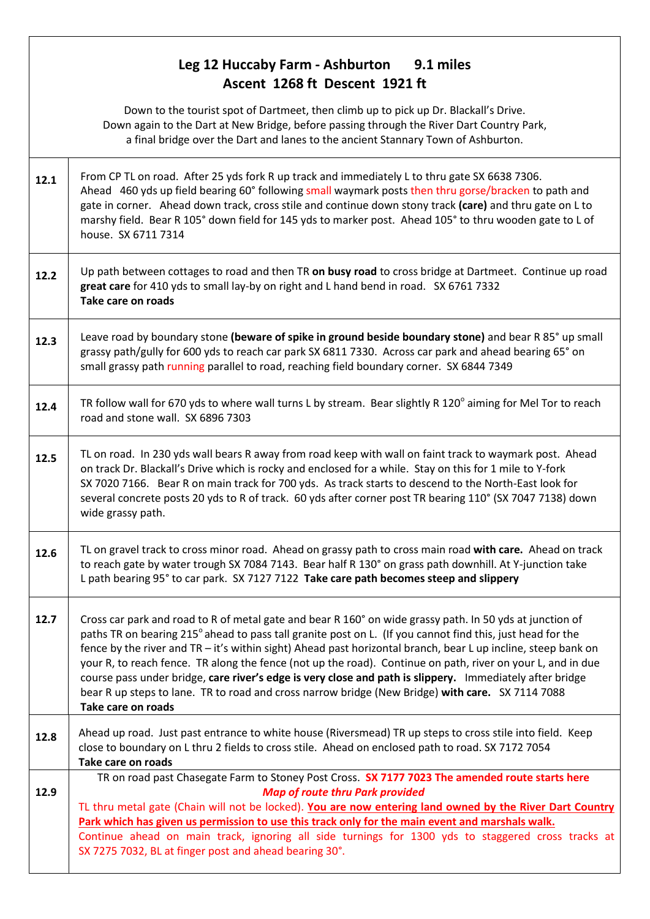### **Leg 12 Huccaby Farm - Ashburton 9.1 miles Ascent 1268 ft Descent 1921 ft**

Down to the tourist spot of Dartmeet, then climb up to pick up Dr. Blackall's Drive. Down again to the Dart at New Bridge, before passing through the River Dart Country Park, a final bridge over the Dart and lanes to the ancient Stannary Town of Ashburton.

- **12.1** From CP TL on road. After 25 yds fork R up track and immediately L to thru gate SX 6638 7306. Ahead 460 yds up field bearing 60° following small waymark posts then thru gorse/bracken to path and gate in corner. Ahead down track, cross stile and continue down stony track **(care)** and thru gate on L to marshy field. Bear R 105° down field for 145 yds to marker post. Ahead 105° to thru wooden gate to L of house. SX 6711 7314
- **12.2** Up path between cottages to road and then TR **on busy road** to cross bridge at Dartmeet. Continue up road **great care** for 410 yds to small lay-by on right and L hand bend in road. SX 6761 7332 **Take care on roads**
- **12.3** Ceave road by boundary stone **(beware of spike in ground beside boundary stone)** and bear R 85° up small grassy path/gully for 600 yds to reach car park SX 6811 7330. Across car park and ahead bearing 65° on small grassy path running parallel to road, reaching field boundary corner. SX 6844 7349
- **12.4** TR follow wall for 670 yds to where wall turns L by stream. Bear slightly R 120<sup>°</sup> aiming for Mel Tor to reach road and stone wall. SX 6896 7303
- **12.5** TL on road. In 230 yds wall bears R away from road keep with wall on faint track to waymark post. Ahead on track Dr. Blackall's Drive which is rocky and enclosed for a while. Stay on this for 1 mile to Y-fork SX 7020 7166. Bear R on main track for 700 yds. As track starts to descend to the North-East look for several concrete posts 20 yds to R of track. 60 yds after corner post TR bearing 110° (SX 7047 7138) down wide grassy path.
- **12.6** TL on gravel track to cross minor road. Ahead on grassy path to cross main road **with care.** Ahead on track to reach gate by water trough SX 7084 7143. Bear half R 130° on grass path downhill. At Y-junction take L path bearing 95° to car park. SX 7127 7122 **Take care path becomes steep and slippery**
- **12.7** Cross car park and road to R of metal gate and bear R 160° on wide grassy path. In 50 yds at junction of paths TR on bearing 215<sup>°</sup> ahead to pass tall granite post on L. (If you cannot find this, just head for the fence by the river and TR – it's within sight) Ahead past horizontal branch, bear L up incline, steep bank on your R, to reach fence. TR along the fence (not up the road). Continue on path, river on your L, and in due course pass under bridge, **care river's edge is very close and path is slippery.** Immediately after bridge bear R up steps to lane. TR to road and cross narrow bridge (New Bridge) **with care.** SX 7114 7088 **Take care on roads**
- **12.8** Ahead up road. Just past entrance to white house (Riversmead) TR up steps to cross stile into field. Keep close to boundary on L thru 2 fields to cross stile. Ahead on enclosed path to road. SX 7172 7054 **Take care on roads 12.9** TR on road past Chasegate Farm to Stoney Post Cross. **SX 7177 7023 The amended route starts here**  *Map of route thru Park provided* TL thru metal gate (Chain will not be locked). **You are now entering land owned by the River Dart Country Park which has given us permission to use this track only for the main event and marshals walk.**
	- Continue ahead on main track, ignoring all side turnings for 1300 yds to staggered cross tracks at SX 7275 7032, BL at finger post and ahead bearing 30°.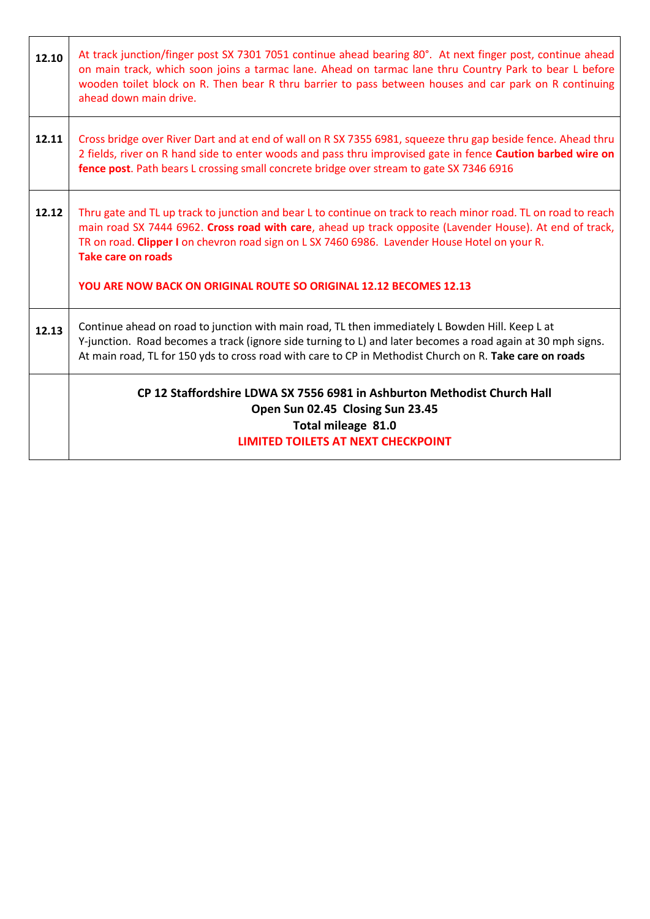| 12.10 | At track junction/finger post SX 7301 7051 continue ahead bearing 80°. At next finger post, continue ahead<br>on main track, which soon joins a tarmac lane. Ahead on tarmac lane thru Country Park to bear L before<br>wooden toilet block on R. Then bear R thru barrier to pass between houses and car park on R continuing<br>ahead down main drive.                                                                              |
|-------|---------------------------------------------------------------------------------------------------------------------------------------------------------------------------------------------------------------------------------------------------------------------------------------------------------------------------------------------------------------------------------------------------------------------------------------|
| 12.11 | Cross bridge over River Dart and at end of wall on R SX 7355 6981, squeeze thru gap beside fence. Ahead thru<br>2 fields, river on R hand side to enter woods and pass thru improvised gate in fence Caution barbed wire on<br>fence post. Path bears L crossing small concrete bridge over stream to gate SX 7346 6916                                                                                                               |
| 12.12 | Thru gate and TL up track to junction and bear L to continue on track to reach minor road. TL on road to reach<br>main road SX 7444 6962. Cross road with care, ahead up track opposite (Lavender House). At end of track,<br>TR on road. Clipper I on chevron road sign on L SX 7460 6986. Lavender House Hotel on your R.<br><b>Take care on roads</b><br><b>YOU ARE NOW BACK ON ORIGINAL ROUTE SO ORIGINAL 12.12 BECOMES 12.13</b> |
| 12.13 | Continue ahead on road to junction with main road, TL then immediately L Bowden Hill. Keep L at<br>Y-junction. Road becomes a track (ignore side turning to L) and later becomes a road again at 30 mph signs.<br>At main road, TL for 150 yds to cross road with care to CP in Methodist Church on R. Take care on roads                                                                                                             |
|       | CP 12 Staffordshire LDWA SX 7556 6981 in Ashburton Methodist Church Hall<br>Open Sun 02.45 Closing Sun 23.45<br>Total mileage 81.0<br><b>LIMITED TOILETS AT NEXT CHECKPOINT</b>                                                                                                                                                                                                                                                       |

٦

 $\overline{\phantom{a}}$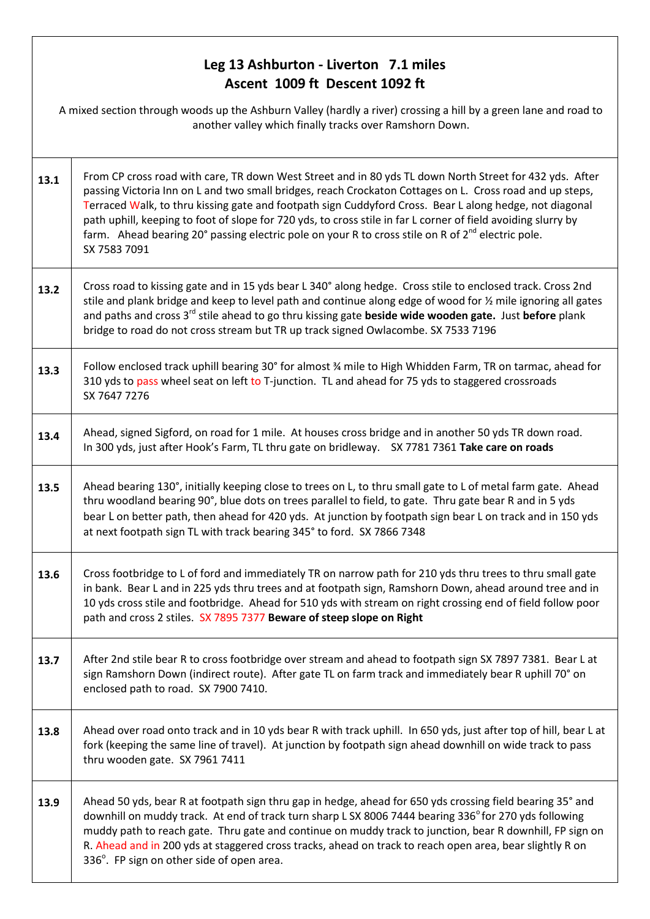### **Leg 13 Ashburton - Liverton 7.1 miles Ascent 1009 ft Descent 1092 ft**

|      | A mixed section through woods up the Ashburn Valley (hardly a river) crossing a hill by a green lane and road to<br>another valley which finally tracks over Ramshorn Down.                                                                                                                                                                                                                                                                                                                                                                                                      |  |
|------|----------------------------------------------------------------------------------------------------------------------------------------------------------------------------------------------------------------------------------------------------------------------------------------------------------------------------------------------------------------------------------------------------------------------------------------------------------------------------------------------------------------------------------------------------------------------------------|--|
| 13.1 | From CP cross road with care, TR down West Street and in 80 yds TL down North Street for 432 yds. After<br>passing Victoria Inn on L and two small bridges, reach Crockaton Cottages on L. Cross road and up steps,<br>Terraced Walk, to thru kissing gate and footpath sign Cuddyford Cross. Bear L along hedge, not diagonal<br>path uphill, keeping to foot of slope for 720 yds, to cross stile in far L corner of field avoiding slurry by<br>farm. Ahead bearing 20° passing electric pole on your R to cross stile on R of 2 <sup>nd</sup> electric pole.<br>SX 7583 7091 |  |
| 13.2 | Cross road to kissing gate and in 15 yds bear L 340° along hedge. Cross stile to enclosed track. Cross 2nd<br>stile and plank bridge and keep to level path and continue along edge of wood for % mile ignoring all gates<br>and paths and cross 3 <sup>rd</sup> stile ahead to go thru kissing gate beside wide wooden gate. Just before plank<br>bridge to road do not cross stream but TR up track signed Owlacombe. SX 7533 7196                                                                                                                                             |  |
| 13.3 | Follow enclosed track uphill bearing 30° for almost % mile to High Whidden Farm, TR on tarmac, ahead for<br>310 yds to pass wheel seat on left to T-junction. TL and ahead for 75 yds to staggered crossroads<br>SX 7647 7276                                                                                                                                                                                                                                                                                                                                                    |  |
| 13.4 | Ahead, signed Sigford, on road for 1 mile. At houses cross bridge and in another 50 yds TR down road.<br>In 300 yds, just after Hook's Farm, TL thru gate on bridleway. SX 7781 7361 Take care on roads                                                                                                                                                                                                                                                                                                                                                                          |  |
| 13.5 | Ahead bearing 130°, initially keeping close to trees on L, to thru small gate to L of metal farm gate. Ahead<br>thru woodland bearing 90°, blue dots on trees parallel to field, to gate. Thru gate bear R and in 5 yds<br>bear L on better path, then ahead for 420 yds. At junction by footpath sign bear L on track and in 150 yds<br>at next footpath sign TL with track bearing 345° to ford. SX 7866 7348                                                                                                                                                                  |  |
| 13.6 | Cross footbridge to L of ford and immediately TR on narrow path for 210 yds thru trees to thru small gate<br>in bank. Bear L and in 225 yds thru trees and at footpath sign, Ramshorn Down, ahead around tree and in<br>10 yds cross stile and footbridge. Ahead for 510 yds with stream on right crossing end of field follow poor<br>path and cross 2 stiles. SX 7895 7377 Beware of steep slope on Right                                                                                                                                                                      |  |
| 13.7 | After 2nd stile bear R to cross footbridge over stream and ahead to footpath sign SX 7897 7381. Bear L at<br>sign Ramshorn Down (indirect route). After gate TL on farm track and immediately bear R uphill 70° on<br>enclosed path to road. SX 7900 7410.                                                                                                                                                                                                                                                                                                                       |  |
| 13.8 | Ahead over road onto track and in 10 yds bear R with track uphill. In 650 yds, just after top of hill, bear L at<br>fork (keeping the same line of travel). At junction by footpath sign ahead downhill on wide track to pass<br>thru wooden gate. SX 7961 7411                                                                                                                                                                                                                                                                                                                  |  |
| 13.9 | Ahead 50 yds, bear R at footpath sign thru gap in hedge, ahead for 650 yds crossing field bearing 35° and<br>downhill on muddy track. At end of track turn sharp L SX 8006 7444 bearing 336° for 270 yds following<br>muddy path to reach gate. Thru gate and continue on muddy track to junction, bear R downhill, FP sign on<br>R. Ahead and in 200 yds at staggered cross tracks, ahead on track to reach open area, bear slightly R on<br>336°. FP sign on other side of open area.                                                                                          |  |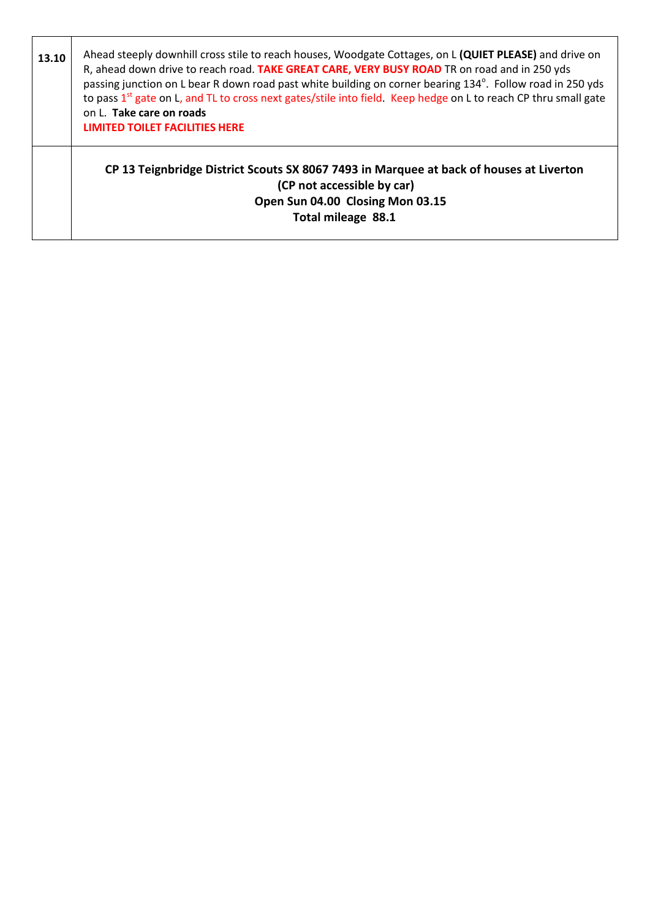| 13.10 | Ahead steeply downhill cross stile to reach houses, Woodgate Cottages, on L (QUIET PLEASE) and drive on<br>R, ahead down drive to reach road. TAKE GREAT CARE, VERY BUSY ROAD TR on road and in 250 yds<br>passing junction on L bear R down road past white building on corner bearing 134°. Follow road in 250 yds<br>to pass 1 <sup>st</sup> gate on L, and TL to cross next gates/stile into field. Keep hedge on L to reach CP thru small gate<br>on L. Take care on roads<br><b>LIMITED TOILET FACILITIES HERE</b> |
|-------|--------------------------------------------------------------------------------------------------------------------------------------------------------------------------------------------------------------------------------------------------------------------------------------------------------------------------------------------------------------------------------------------------------------------------------------------------------------------------------------------------------------------------|
|       | CP 13 Teignbridge District Scouts SX 8067 7493 in Marquee at back of houses at Liverton<br>(CP not accessible by car)<br>Open Sun 04.00 Closing Mon 03.15<br>Total mileage 88.1                                                                                                                                                                                                                                                                                                                                          |

┑

Г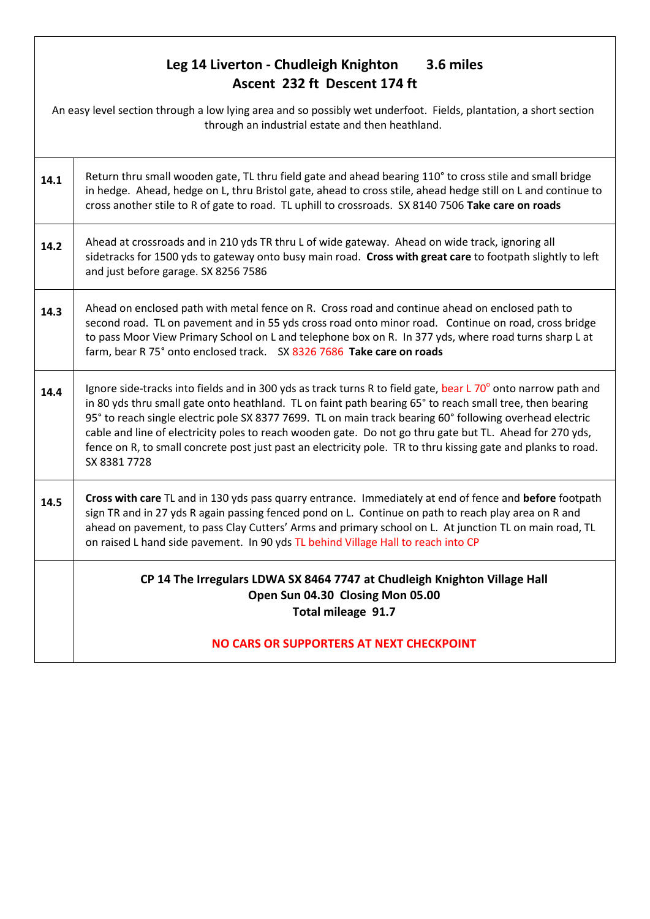### **Leg 14 Liverton - Chudleigh Knighton 3.6 miles Ascent 232 ft Descent 174 ft**

| An easy level section through a low lying area and so possibly wet underfoot. Fields, plantation, a short section<br>through an industrial estate and then heathland. |                                                                                                                                                                                                                                                                                                                                                                                                                                                                                                                                                                                    |
|-----------------------------------------------------------------------------------------------------------------------------------------------------------------------|------------------------------------------------------------------------------------------------------------------------------------------------------------------------------------------------------------------------------------------------------------------------------------------------------------------------------------------------------------------------------------------------------------------------------------------------------------------------------------------------------------------------------------------------------------------------------------|
| 14.1                                                                                                                                                                  | Return thru small wooden gate, TL thru field gate and ahead bearing 110° to cross stile and small bridge<br>in hedge. Ahead, hedge on L, thru Bristol gate, ahead to cross stile, ahead hedge still on L and continue to<br>cross another stile to R of gate to road. TL uphill to crossroads. SX 8140 7506 Take care on roads                                                                                                                                                                                                                                                     |
| 14.2                                                                                                                                                                  | Ahead at crossroads and in 210 yds TR thru L of wide gateway. Ahead on wide track, ignoring all<br>sidetracks for 1500 yds to gateway onto busy main road. Cross with great care to footpath slightly to left<br>and just before garage. SX 8256 7586                                                                                                                                                                                                                                                                                                                              |
| 14.3                                                                                                                                                                  | Ahead on enclosed path with metal fence on R. Cross road and continue ahead on enclosed path to<br>second road. TL on pavement and in 55 yds cross road onto minor road. Continue on road, cross bridge<br>to pass Moor View Primary School on L and telephone box on R. In 377 yds, where road turns sharp L at<br>farm, bear R 75° onto enclosed track. SX 8326 7686 Take care on roads                                                                                                                                                                                          |
| 14.4                                                                                                                                                                  | Ignore side-tracks into fields and in 300 yds as track turns R to field gate, bear L 70° onto narrow path and<br>in 80 yds thru small gate onto heathland. TL on faint path bearing 65° to reach small tree, then bearing<br>95° to reach single electric pole SX 8377 7699. TL on main track bearing 60° following overhead electric<br>cable and line of electricity poles to reach wooden gate. Do not go thru gate but TL. Ahead for 270 yds,<br>fence on R, to small concrete post just past an electricity pole. TR to thru kissing gate and planks to road.<br>SX 8381 7728 |
| 14.5                                                                                                                                                                  | Cross with care TL and in 130 yds pass quarry entrance. Immediately at end of fence and before footpath<br>sign TR and in 27 yds R again passing fenced pond on L. Continue on path to reach play area on R and<br>ahead on pavement, to pass Clay Cutters' Arms and primary school on L. At junction TL on main road, TL<br>on raised L hand side pavement. In 90 yds TL behind Village Hall to reach into CP                                                                                                                                                                     |
|                                                                                                                                                                       | CP 14 The Irregulars LDWA SX 8464 7747 at Chudleigh Knighton Village Hall<br>Open Sun 04.30 Closing Mon 05.00<br>Total mileage 91.7                                                                                                                                                                                                                                                                                                                                                                                                                                                |
|                                                                                                                                                                       | NO CARS OR SUPPORTERS AT NEXT CHECKPOINT                                                                                                                                                                                                                                                                                                                                                                                                                                                                                                                                           |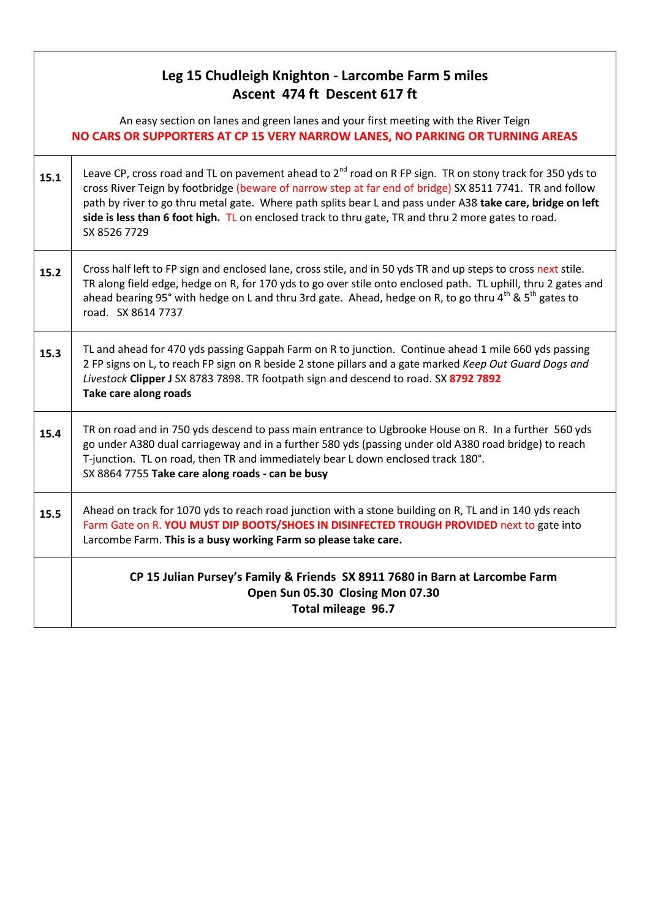#### **Leg 15 Chudleigh Knighton - Larcombe Farm 5 miles Ascent 474 ft Descent 617 ft**

An easy section on lanes and green lanes and your first meeting with the River Teign **NO CARS OR SUPPORTERS AT CP 15 VERY NARROW LANES, NO PARKING OR TURNING AREAS**

| 15.1 | Leave CP, cross road and TL on pavement ahead to $2^{nd}$ road on R FP sign. TR on stony track for 350 yds to<br>cross River Teign by footbridge (beware of narrow step at far end of bridge) SX 8511 7741. TR and follow<br>path by river to go thru metal gate. Where path splits bear L and pass under A38 take care, bridge on left<br>side is less than 6 foot high. TL on enclosed track to thru gate, TR and thru 2 more gates to road.<br>SX 8526 7729 |
|------|----------------------------------------------------------------------------------------------------------------------------------------------------------------------------------------------------------------------------------------------------------------------------------------------------------------------------------------------------------------------------------------------------------------------------------------------------------------|
| 15.2 | Cross half left to FP sign and enclosed lane, cross stile, and in 50 yds TR and up steps to cross next stile.<br>TR along field edge, hedge on R, for 170 yds to go over stile onto enclosed path. TL uphill, thru 2 gates and<br>ahead bearing 95° with hedge on L and thru 3rd gate. Ahead, hedge on R, to go thru 4 <sup>th</sup> & 5 <sup>th</sup> gates to<br>road. SX 8614 7737                                                                          |
| 15.3 | TL and ahead for 470 yds passing Gappah Farm on R to junction. Continue ahead 1 mile 660 yds passing<br>2 FP signs on L, to reach FP sign on R beside 2 stone pillars and a gate marked Keep Out Guard Dogs and<br>Livestock Clipper J SX 8783 7898. TR footpath sign and descend to road. SX 8792 7892<br>Take care along roads                                                                                                                               |
| 15.4 | TR on road and in 750 yds descend to pass main entrance to Ugbrooke House on R. In a further 560 yds<br>go under A380 dual carriageway and in a further 580 yds (passing under old A380 road bridge) to reach<br>T-junction. TL on road, then TR and immediately bear L down enclosed track 180°.<br>SX 8864 7755 Take care along roads - can be busy                                                                                                          |
| 15.5 | Ahead on track for 1070 yds to reach road junction with a stone building on R, TL and in 140 yds reach<br>Farm Gate on R. YOU MUST DIP BOOTS/SHOES IN DISINFECTED TROUGH PROVIDED next to gate into<br>Larcombe Farm. This is a busy working Farm so please take care.                                                                                                                                                                                         |
|      | CP 15 Julian Pursey's Family & Friends SX 8911 7680 in Barn at Larcombe Farm<br>Open Sun 05.30 Closing Mon 07.30<br>Total mileage 96.7                                                                                                                                                                                                                                                                                                                         |